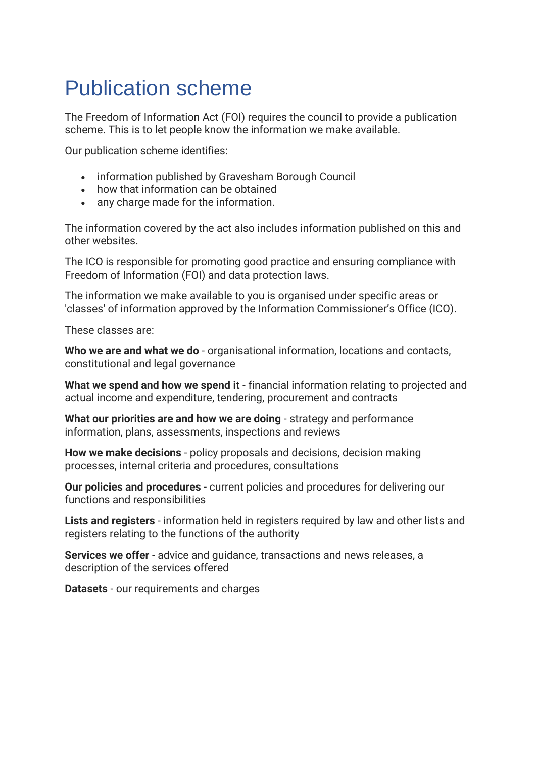# Publication scheme

The Freedom of Information Act (FOI) requires the council to provide a publication scheme. This is to let people know the information we make available.

Our publication scheme identifies:

- information published by Gravesham Borough Council
- how that information can be obtained
- any charge made for the information.

The information covered by the act also includes information published on this and other websites.

The ICO is responsible for promoting good practice and ensuring compliance with Freedom of Information (FOI) and data protection laws.

The information we make available to you is organised under specific areas or 'classes' of information approved by the Information Commissioner's Office (ICO).

These classes are:

**Who we are and what we do** - organisational information, locations and contacts, constitutional and legal governance

**What we spend and how we spend it** - financial information relating to projected and actual income and expenditure, tendering, procurement and contracts

**What our priorities are and how we are doing** - strategy and performance information, plans, assessments, inspections and reviews

**How we make decisions** - policy proposals and decisions, decision making processes, internal criteria and procedures, consultations

**Our policies and procedures** - current policies and procedures for delivering our functions and responsibilities

**Lists and registers** - information held in registers required by law and other lists and registers relating to the functions of the authority

**Services we offer** - advice and guidance, transactions and news releases, a description of the services offered

**Datasets** - our requirements and charges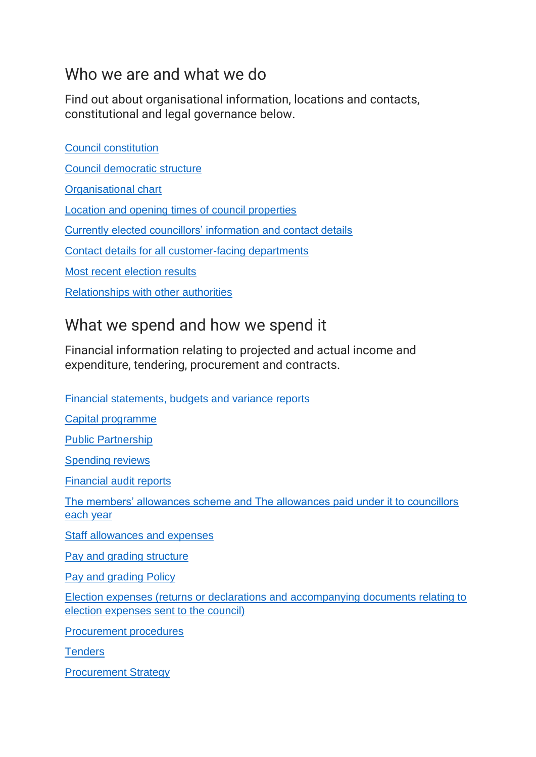# Who we are and what we do

Find out about organisational information, locations and contacts, constitutional and legal governance below.

[Council constitution](https://www.gravesham.gov.uk/home/about-the-council/policies-strategies-open-data/transparency-and-open-data/constitution) [Council democratic structure](https://democracy.gravesham.gov.uk/mgListCommittees.aspx) [Organisational chart](https://www.gravesham.gov.uk/home/about-the-council/policies-strategies-open-data/transparency-and-open-data/senior-staff-salaries-and-organisation-structure) [Location and opening times of council properties](https://www.gravesham.gov.uk/home/footer/contact-us/find-us/opening-hours) [Currently elected councillors' information and contact details](http://democracy.gravesham.gov.uk/mgMemberIndex.aspx?bcr=1) [Contact details for all customer-facing departments](https://www.gravesham.gov.uk/home/footer/contact-us/how-to-contact-us/contact-us) [Most recent election results](https://www.gravesham.gov.uk/home/elections-and-voting/election-results/overview) [Relationships with other authorities](https://www.gravesham.gov.uk/home/about-the-council/policies-strategies-open-data/corporate-partnerships)

# What we spend and how we spend it

Financial information relating to projected and actual income and expenditure, tendering, procurement and contracts.

[Financial statements, budgets and variance reports](https://www.gravesham.gov.uk/home/about-the-council/policies-strategies-open-data/transparency-and-open-data/senior-staff-salaries-and-organisation-chart)

[Capital programme](https://www.gravesham.gov.uk/home/about-the-council/budgets-audits-and-accounts/budgets-and-budget-monitoring)

Public Partnership

[Spending reviews](https://democracy.gravesham.gov.uk/ieDocSearch.aspx?bcr=1)

[Financial audit reports](https://www.gravesham.gov.uk/home/about-the-council/policies-strategies-open-data/transparency-and-open-data/audit-findings-report)

[The members' allowances scheme and The allowances paid under it to councillors](http://democracy.gravesham.gov.uk/ecCatDisplay.aspx?sch=doc&cat=13091&path=0%2c480&_ga=1.225603225.208785960.1472715078)  [each year](http://democracy.gravesham.gov.uk/ecCatDisplay.aspx?sch=doc&cat=13091&path=0%2c480&_ga=1.225603225.208785960.1472715078)

[Staff allowances and expenses](https://www.gravesham.gov.uk/home/about-the-council/policies-strategies-open-data/transparency-and-open-data/pay-policy-statement)

[Pay and grading structure](https://www.gravesham.gov.uk/home/about-the-council/policies-strategies-open-data/transparency-and-open-data/senior-staff-salaries-and-organisation-chart)

[Pay and grading Policy](https://www.gravesham.gov.uk/home/about-the-council/policies-strategies-open-data/transparency-and-open-data/pay-policy-statement)

[Election expenses \(returns or declarations and accompanying documents relating to](https://www.gravesham.gov.uk/home/elections-and-voting)  [election expenses sent to the council\)](https://www.gravesham.gov.uk/home/elections-and-voting)

[Procurement procedures](https://democracy.gravesham.gov.uk/documents/s61050/Annex%202%20-%20Procedural%20Rules.pdf)

**[Tenders](https://www.gravesham.gov.uk/home/business/tenders-and-procurement/overview)** 

[Procurement Strategy](https://www.gravesham.gov.uk/__data/assets/pdf_file/0018/240237/Procurement-Strategy.pdf)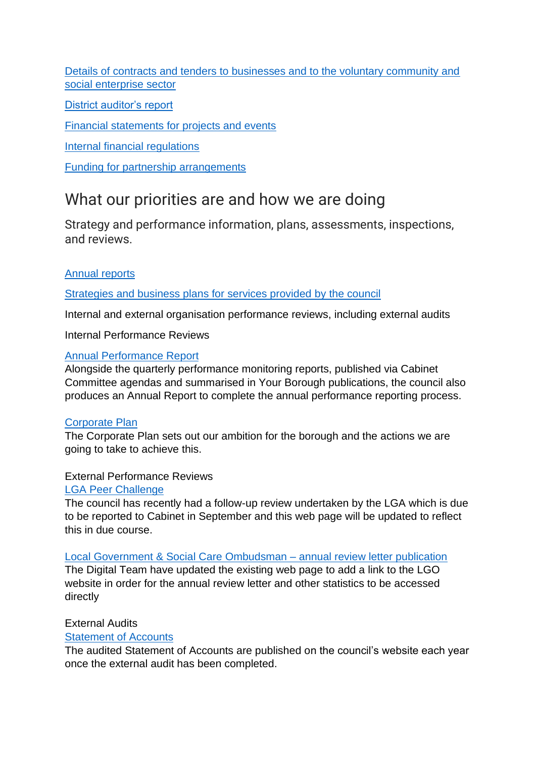[Details of contracts and tenders to businesses and to the voluntary community and](file:///C:/Users/emma.mulcrow.GRAVESHAM_NT/AppData/Local/Microsoft/Windows/INetCache/Content.Outlook/OOYXP5HC/%20https/www.gravesham.gov.uk/home/business/tenders-and-procurement/overview)  [social enterprise sector](file:///C:/Users/emma.mulcrow.GRAVESHAM_NT/AppData/Local/Microsoft/Windows/INetCache/Content.Outlook/OOYXP5HC/%20https/www.gravesham.gov.uk/home/business/tenders-and-procurement/overview)

[District auditor's report](https://www.gravesham.gov.uk/home/about-the-council/policies-strategies-open-data/transparency-and-open-data/audit-findings-report)

[Financial statements for projects and events](https://democracy.gravesham.gov.uk/ieDocSearch.aspx?bcr=1)

[Internal financial regulations](https://democracy.gravesham.gov.uk/documents/s61050/Annex%202%20-%20Procedural%20Rules.pdf)

[Funding for partnership arrangements](https://www.gravesham.gov.uk/home/about-the-council/policies-strategies-open-data/corporate-partnerships)

### What our priorities are and how we are doing

Strategy and performance information, plans, assessments, inspections, and reviews.

#### [Annual reports](https://www.gravesham.gov.uk/home/about-the-council/policies-strategies-open-data/transparency-and-open-data/annual-performance-report)

#### [Strategies and business plans for services provided](https://www.gravesham.gov.uk/home/about-the-council/policies-strategies-open-data/corporate-plan%20https:/www.gravesham.gov.uk/home/about-the-council/policies-strategies-open-data/strategies) by the council

Internal and external organisation performance reviews, including external audits

Internal Performance Reviews

#### [Annual Performance Report](https://www.gravesham.gov.uk/home/about-the-council/policies-strategies-open-data/transparency-and-open-data/annual-performance-report)

Alongside the quarterly performance monitoring reports, published via Cabinet Committee agendas and summarised in Your Borough publications, the council also produces an Annual Report to complete the annual performance reporting process.

#### [Corporate Plan](https://www.gravesham.gov.uk/home/about-the-council/policies-strategies-open-data/corporate-plan)

The Corporate Plan sets out our ambition for the borough and the actions we are going to take to achieve this.

#### External Performance Reviews

#### [LGA Peer Challenge](https://www.gravesham.gov.uk/home/about-the-council/policies-strategies-open-data/peer-challenge)

The council has recently had a follow-up review undertaken by the LGA which is due to be reported to Cabinet in September and this web page will be updated to reflect this in due course.

[Local Government & Social Care Ombudsman –](https://www.gravesham.gov.uk/home/footer/contact-us/make-a-complaint/local-government-ombudsman) annual review letter publication

The Digital Team have updated the existing web page to add a link to the LGO website in order for the annual review letter and other statistics to be accessed directly

#### External Audits

#### [Statement of Accounts](https://www.gravesham.gov.uk/home/about-the-council/budgets-audits-and-accounts/overview)

The audited Statement of Accounts are published on the council's website each year once the external audit has been completed.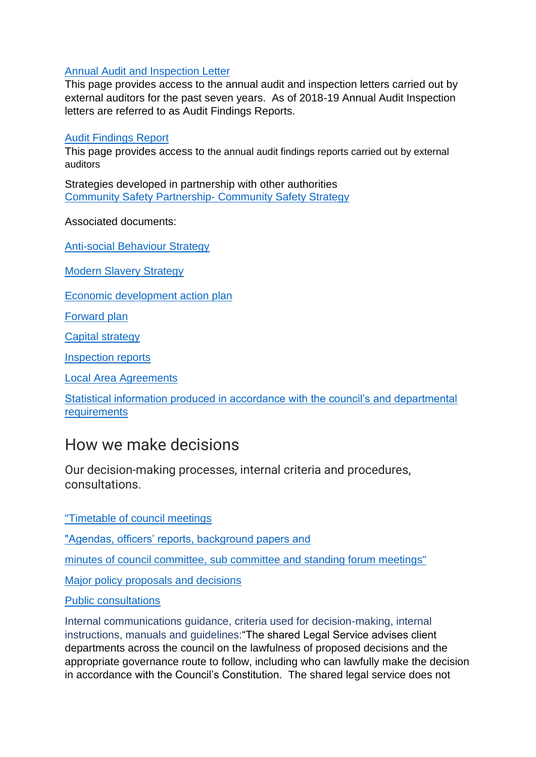#### [Annual Audit and Inspection Letter](https://www.gravesham.gov.uk/home/about-the-council/policies-strategies-open-data/transparency-and-open-data/annual-audit-and-inspection-letter)

This page provides access to the annual audit and inspection letters carried out by external auditors for the past seven years. As of 2018-19 Annual Audit Inspection letters are referred to as Audit Findings Reports.

#### [Audit Findings Report](https://www.gravesham.gov.uk/home/about-the-council/policies-strategies-open-data/transparency-and-open-data/audit-findings-report)

This page provides access to the annual audit findings reports carried out by external auditors

Strategies developed in partnership with other authorities [Community Safety Partnership-](https://www.gravesham.gov.uk/home/about-the-council/policies-strategies-open-data/strategies/community-safety-strategy/introduction) Community Safety Strategy

Associated documents:

[Anti-social Behaviour Strategy](https://www.gravesham.gov.uk/home/community-and-leisure/safety-and-crime/anti-social-behaviour)

[Modern Slavery Strategy](https://www.gravesham.gov.uk/home/community-and-leisure/safety-and-crime/modern-slavery)

[Economic development action plan](https://democracy.gravesham.gov.uk/documents/s58714/Appendix%202%20-%20Draft%20Economic%20Development%20Strategy.pdf)

[Forward plan](https://democracy.gravesham.gov.uk/mgDelegatedDecisions.aspx?bcr=1&DM=0&DS=2&K=0&DR=&V=0)

[Capital strategy](https://www.gravesham.gov.uk/__data/assets/pdf_file/0011/240221/Capital-Strategy.pdf)

[Inspection reports](https://www.gravesham.gov.uk/home/about-the-council/policies-strategies-open-data/transparency-and-open-data/annual-audit-and-inspection-letter)

[Local Area Agreements](https://www.gravesham.gov.uk/home/about-the-council/policies-strategies-open-data/corporate-partnerships)

[Statistical information produced in accordance with the council's and departmental](file:///C:/Users/emma.mulcrow.GRAVESHAM_NT/AppData/Local/Microsoft/Windows/INetCache/Content.Outlook/OOYXP5HC/Community%20Profile%20(gravesham.gov.uk))  **[requirements](file:///C:/Users/emma.mulcrow.GRAVESHAM_NT/AppData/Local/Microsoft/Windows/INetCache/Content.Outlook/OOYXP5HC/Community%20Profile%20(gravesham.gov.uk))** 

### How we make decisions

Our decision-making processes, internal criteria and procedures, consultations.

["Timetable of council meetings](http://democracy.gravesham.gov.uk/mgCalendarMonthView.aspx?GL=1&bcr=1)

["Agendas, officers' reports, background papers and](http://democracy.gravesham.gov.uk/mgCalendarMonthView.aspx?GL=1&bcr=1)

[minutes of council committee, sub committee and standing forum meetings"](http://democracy.gravesham.gov.uk/mgCalendarMonthView.aspx?GL=1&bcr=1)

[Major policy proposals and decisions](https://democracy.gravesham.gov.uk/mgDelegatedDecisions.aspx?bcr=1&DM=0&DS=2&K=0&DR=&V=0)

[Public consultations](https://www.gravesham.gov.uk/home/about-the-council/have-your-say/consultations)

Internal communications guidance, criteria used for decision-making, internal instructions, manuals and guidelines:"The shared Legal Service advises client departments across the council on the lawfulness of proposed decisions and the appropriate governance route to follow, including who can lawfully make the decision in accordance with the Council's Constitution. The shared legal service does not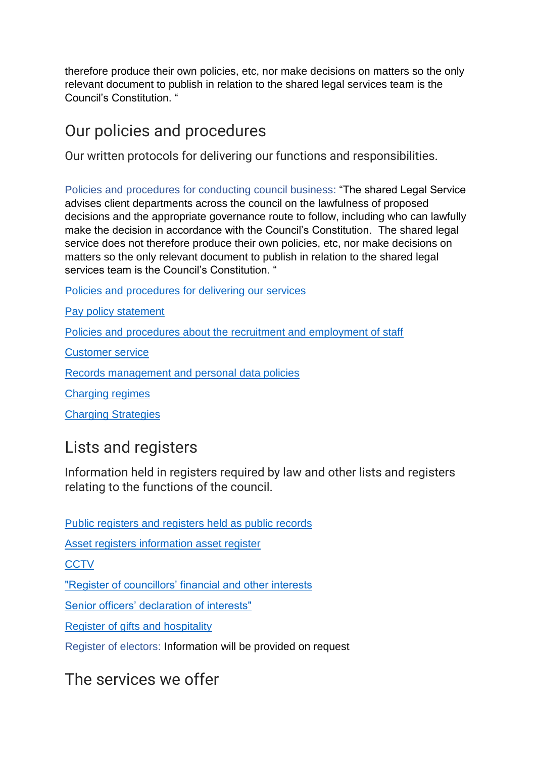therefore produce their own policies, etc, nor make decisions on matters so the only relevant document to publish in relation to the shared legal services team is the Council's Constitution. "

# Our policies and procedures

Our written protocols for delivering our functions and responsibilities.

Policies and procedures for conducting council business: "The shared Legal Service advises client departments across the council on the lawfulness of proposed decisions and the appropriate governance route to follow, including who can lawfully make the decision in accordance with the Council's Constitution. The shared legal service does not therefore produce their own policies, etc, nor make decisions on matters so the only relevant document to publish in relation to the shared legal services team is the Council's Constitution. "

[Policies and procedures for delivering our services](https://www.gravesham.gov.uk/home/about-the-council/policies-strategies-open-data/policies)

[Pay policy statement](https://www.gravesham.gov.uk/home/about-the-council/policies-strategies-open-data/transparency-and-open-data/pay-policy-statement/remuneration-of-the-chief-officers)

[Policies and procedures about the recruitment and employment of staff](https://www.gravesham.gov.uk/home/about-the-council/policies-strategies-open-data/transparency-and-open-data/equality/equality-policy)

[Customer service](https://www.gravesham.gov.uk/home/footer/contact-us/make-a-complaint/overview)

[Records management and personal data policies](https://www.gravesham.gov.uk/home/about-the-council/policies-strategies-open-data/policies)

[Charging regimes](https://www.gravesham.gov.uk/home/about-the-council/policies-strategies-open-data/transparency-and-open-data/fees-and-charges)

[Charging Strategies](https://www.gravesham.gov.uk/__data/assets/pdf_file/0010/186076/Charging-Strategy.pdf)

### Lists and registers

Information held in registers required by law and other lists and registers relating to the functions of the council.

[Public registers and registers held as public records](https://www.gravesham.gov.uk/home/about-the-council/policies-strategies-open-data/registers)

[Asset registers information asset register](https://www.gravesham.gov.uk/home/about-the-council/policies-strategies-open-data/transparency-and-open-data/local-authority-land)

**[CCTV](https://www.gravesham.gov.uk/home/community-and-leisure/safety-and-crime/cctv)** 

["Register of councillors' financial and other interests](https://democracy.gravesham.gov.uk/mgMemberIndex.aspx)

[Senior officers' declaration of interests"](https://www.gravesham.gov.uk/home/about-the-council/budgets-audits-and-accounts/statement-of-accounts)

[Register of gifts and hospitality](https://democracy.gravesham.gov.uk/ieDocSearch.aspx?bcr=1)

Register of electors: Information will be provided on request

The services we offer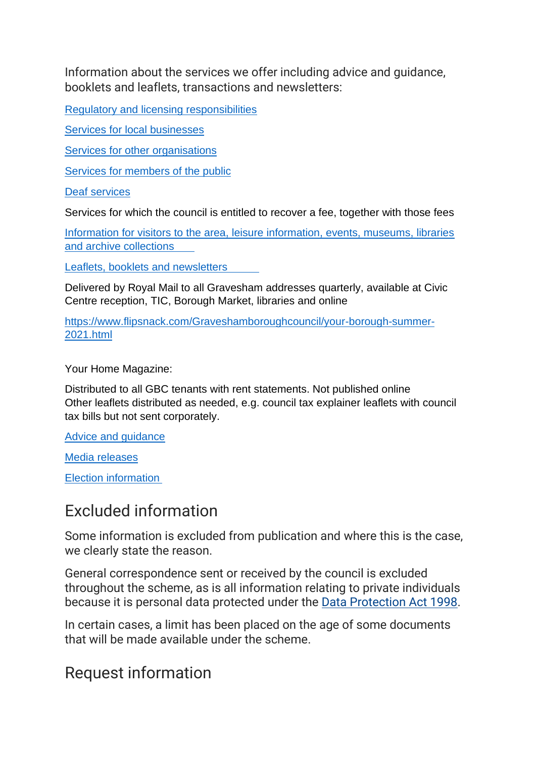Information about the services we offer including advice and guidance, booklets and leaflets, transactions and newsletters:

[Regulatory and licensing responsibilities](https://www.gravesham.gov.uk/home/licensing)

[Services for local businesses](https://www.gravesham.gov.uk/home)

[Services for other organisations](https://www.gravesham.gov.uk/home/planning-and-building/building-regulations/overview)

[Services for members of the public](https://www.gravesham.gov.uk/home/community-and-leisure/local-services-directory/overview)

[Deaf services](https://www.gravesham.gov.uk/home/about-the-council/gravesham-gateway/gateway-services/west-kent-deaf-services)

Services for which the council is entitled to recover a fee, together with those fees

[Information for visitors to the area, leisure information, events, museums, libraries](https://www.gravesham.gov.uk/home/community-and-leisure/tourism/overview)  [and archive collections](https://www.gravesham.gov.uk/home/community-and-leisure/tourism/overview)

[Leaflets, booklets and newsletters](https://www.flipsnack.com/Graveshamboroughcouncil/your-borough-summer-2021.html)

Delivered by Royal Mail to all Gravesham addresses quarterly, available at Civic Centre reception, TIC, Borough Market, libraries and online

[https://www.flipsnack.com/Graveshamboroughcouncil/your-borough-summer-](https://www.flipsnack.com/Graveshamboroughcouncil/your-borough-summer-2021.html)[2021.html](https://www.flipsnack.com/Graveshamboroughcouncil/your-borough-summer-2021.html)

Your Home Magazine:

Distributed to all GBC tenants with rent statements. Not published online Other leaflets distributed as needed, e.g. council tax explainer leaflets with council tax bills but not sent corporately.

[Advice and guidance](http://www.visitgravesend.co.uk/)

[Media releases](https://news.gravesham.gov.uk/home)

[Election information](https://www.gravesham.gov.uk/home/elections-and-voting/election-results/overview)

### Excluded information

Some information is excluded from publication and where this is the case, we clearly state the reason.

General correspondence sent or received by the council is excluded throughout the scheme, as is all information relating to private individuals because it is personal data protected under the [Data Protection Act 1998.](http://www.legislation.gov.uk/ukpga/1998/29/contents)

In certain cases, a limit has been placed on the age of some documents that will be made available under the scheme.

### Request information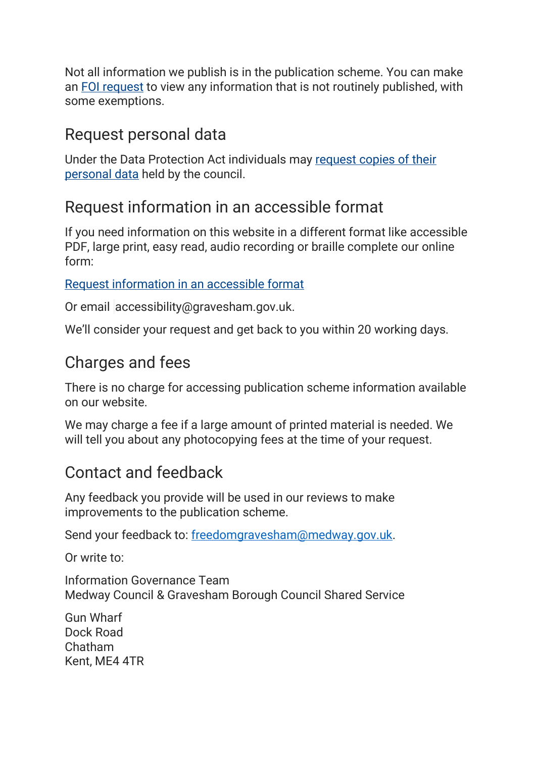Not all information we publish is in the publication scheme. You can make an [FOI request](https://www.gravesham.gov.uk/home/about-the-council/freedom-of-information/overview) to view any information that is not routinely published, with some exemptions.

# Request personal data

Under the Data Protection Act individuals may [request copies of their](https://www.gravesham.gov.uk/home/footer/privacy/your-rights)  [personal data](https://www.gravesham.gov.uk/home/footer/privacy/your-rights) held by the council.

# Request information in an accessible format

If you need information on this website in a different format like accessible PDF, large print, easy read, audio recording or braille complete our online form:

[Request information in an accessible format](https://www.gravesham.gov.uk/home/footer/accessibility/overview)

Or email [accessibility@gravesham.gov.uk.](mailto:accessibility@gravesham.gov.uk?subject=Accessibility:%20Reqest%20alternative%20format)

We'll consider your request and get back to you within 20 working days.

# Charges and fees

There is no charge for accessing publication scheme information available on our website.

We may charge a fee if a large amount of printed material is needed. We will tell you about any photocopying fees at the time of your request.

# Contact and feedback

Any feedback you provide will be used in our reviews to make improvements to the publication scheme.

Send your feedback to: [freedomgravesham@medway.gov.uk.](mailto:freedomgravesham@medway.gov.uk)

Or write to:

Information Governance Team Medway Council & Gravesham Borough Council Shared Service

Gun Wharf Dock Road Chatham Kent, ME4 4TR